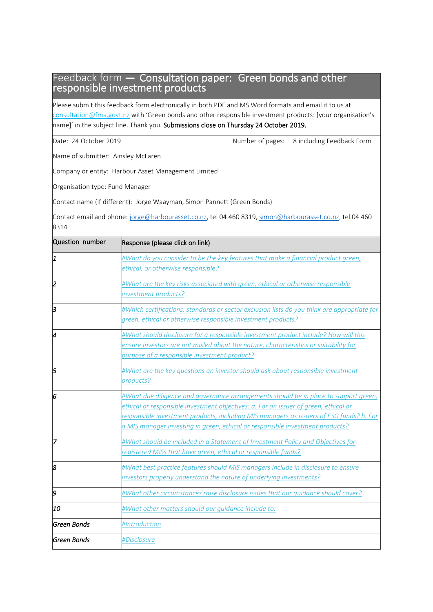### Feedback form — Consultation paper: Green bonds and other responsible investment products

Please submit this feedback form electronically in both PDF and MS Word formats and email it to us at [consultation@fma.govt.nz](file:///C:/Users/amy.jones/AppData/Roaming/OpenText/OTEdit/EC_FMADOCS/c2546096/mailto%233aconsultation@fma.govt.nz) with 'Green bonds and other responsible investment products: [your organisation's name]' in the subject line. Thank you. Submissions close on Thursday 24 October 2019.

|  | Date: 24 October 2019 |  |
|--|-----------------------|--|
|  |                       |  |

Number of pages: 8 including Feedback Form

Name of submitter: Ainsley McLaren

Company or entity: Harbour Asset Management Limited

Organisation type: Fund Manager

Contact name (if different): Jorge Waayman, Simon Pannett (Green Bonds)

Contact email and phone: [jorge@harbourasset.co.nz,](mailto:jorge@harbourasset.co.nz) tel 04 460 8319[, simon@harbourasset.co.nz,](mailto:simon@harbourasset.co.nz) tel 04 460 8314

| Question number | Response (please click on link)                                                                                                                                                                                                                                                                                                                         |
|-----------------|---------------------------------------------------------------------------------------------------------------------------------------------------------------------------------------------------------------------------------------------------------------------------------------------------------------------------------------------------------|
| 1               | #What do you consider to be the key features that make a financial product green,<br>ethical, or otherwise responsible?                                                                                                                                                                                                                                 |
| 2               | #What are the key risks associated with green, ethical or otherwise responsible<br>investment products?                                                                                                                                                                                                                                                 |
| lз              | #Which certifications, standards or sector exclusion lists do you think are appropriate for<br>green, ethical or otherwise responsible investment products?                                                                                                                                                                                             |
| 4               | #What should disclosure for a responsible investment product include? How will this<br>ensure investors are not misled about the nature, characteristics or suitability for<br>purpose of a responsible investment product?                                                                                                                             |
| 5               | #What are the key questions an investor should ask about responsible investment<br>products?                                                                                                                                                                                                                                                            |
| 6               | #What due diligence and governance arrangements should be in place to support green,<br>ethical or responsible investment objectives: a. For an issuer of green, ethical or<br>responsible investment products, including MIS managers as issuers of ESG funds? b. For<br>a MIS manager investing in green, ethical or responsible investment products? |
| 17              | #What should be included in a Statement of Investment Policy and Objectives for<br>registered MISs that have green, ethical or responsible funds?                                                                                                                                                                                                       |
| 8               | #What best practice features should MIS managers include in disclosure to ensure<br>investors properly understand the nature of underlying investments?                                                                                                                                                                                                 |
| b               | #What other circumstances raise disclosure issues that our guidance should cover?                                                                                                                                                                                                                                                                       |
| 10              | #What other matters should our guidance include to:                                                                                                                                                                                                                                                                                                     |
| lGreen Bonds    | #Introduction                                                                                                                                                                                                                                                                                                                                           |
| lGreen Bonds    | #Disclosure                                                                                                                                                                                                                                                                                                                                             |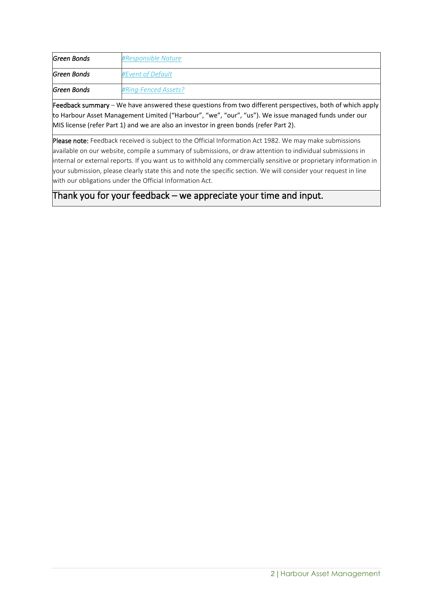| Green Bonds | #Responsible Nature      |
|-------------|--------------------------|
| Green Bonds | <b>#Event of Default</b> |
| Green Bonds | #Ring-Fenced Assets?     |

Feedback summary – We have answered these questions from two different perspectives, both of which apply to Harbour Asset Management Limited ("Harbour", "we", "our", "us"). We issue managed funds under our MIS license (refer Part 1) and we are also an investor in green bonds (refer Part 2).

Please note: Feedback received is subject to the Official Information Act 1982. We may make submissions available on our website, compile a summary of submissions, or draw attention to individual submissions in internal or external reports. If you want us to withhold any commercially sensitive or proprietary information in your submission, please clearly state this and note the specific section. We will consider your request in line with our obligations under the Official Information Act.

Thank you for your feedback – we appreciate your time and input.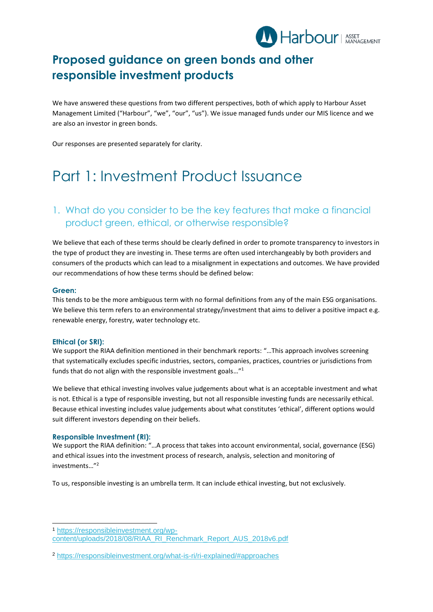

# **Proposed guidance on green bonds and other responsible investment products**

We have answered these questions from two different perspectives, both of which apply to Harbour Asset Management Limited ("Harbour", "we", "our", "us"). We issue managed funds under our MIS licence and we are also an investor in green bonds.

Our responses are presented separately for clarity.

# Part 1: Investment Product Issuance

## <span id="page-2-0"></span>1. What do you consider to be the key features that make a financial product green, ethical, or otherwise responsible?

We believe that each of these terms should be clearly defined in order to promote transparency to investors in the type of product they are investing in. These terms are often used interchangeably by both providers and consumers of the products which can lead to a misalignment in expectations and outcomes. We have provided our recommendations of how these terms should be defined below:

#### **Green:**

This tends to be the more ambiguous term with no formal definitions from any of the main ESG organisations. We believe this term refers to an environmental strategy/investment that aims to deliver a positive impact e.g. renewable energy, forestry, water technology etc.

#### **Ethical (or SRI):**

We support the RIAA definition mentioned in their benchmark reports: "…This approach involves screening that systematically excludes specific industries, sectors, companies, practices, countries or jurisdictions from funds that do not align with the responsible investment goals…"<sup>1</sup>

We believe that ethical investing involves value judgements about what is an acceptable investment and what is not. Ethical is a type of responsible investing, but not all responsible investing funds are necessarily ethical. Because ethical investing includes value judgements about what constitutes 'ethical', different options would suit different investors depending on their beliefs.

#### **Responsible Investment (RI):**

We support the RIAA definition: "…A process that takes into account environmental, social, governance (ESG) and ethical issues into the investment process of research, analysis, selection and monitoring of investments…"<sup>2</sup>

To us, responsible investing is an umbrella term. It can include ethical investing, but not exclusively.

<sup>1</sup> [https://responsibleinvestment.org/wp](https://responsibleinvestment.org/wp-content/uploads/2018/08/RIAA_RI_Renchmark_Report_AUS_2018v6.pdf)[content/uploads/2018/08/RIAA\\_RI\\_Renchmark\\_Report\\_AUS\\_2018v6.pdf](https://responsibleinvestment.org/wp-content/uploads/2018/08/RIAA_RI_Renchmark_Report_AUS_2018v6.pdf)

<sup>2</sup> <https://responsibleinvestment.org/what-is-ri/ri-explained/#approaches>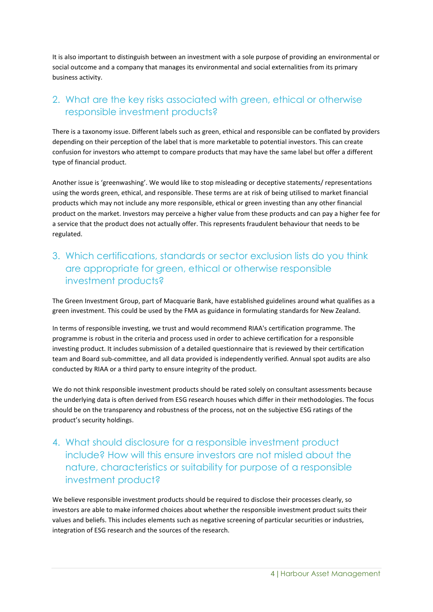It is also important to distinguish between an investment with a sole purpose of providing an environmental or social outcome and a company that manages its environmental and social externalities from its primary business activity.

## <span id="page-3-0"></span>2. What are the key risks associated with green, ethical or otherwise responsible investment products?

There is a taxonomy issue. Different labels such as green, ethical and responsible can be conflated by providers depending on their perception of the label that is more marketable to potential investors. This can create confusion for investors who attempt to compare products that may have the same label but offer a different type of financial product.

Another issue is 'greenwashing'. We would like to stop misleading or deceptive statements/ representations using the words green, ethical, and responsible. These terms are at risk of being utilised to market financial products which may not include any more responsible, ethical or green investing than any other financial product on the market. Investors may perceive a higher value from these products and can pay a higher fee for a service that the product does not actually offer. This represents fraudulent behaviour that needs to be regulated.

## <span id="page-3-1"></span>3. Which certifications, standards or sector exclusion lists do you think are appropriate for green, ethical or otherwise responsible investment products?

The Green Investment Group, part of Macquarie Bank, have established guidelines around what qualifies as a green investment. This could be used by the FMA as guidance in formulating standards for New Zealand.

In terms of responsible investing, we trust and would recommend RIAA's certification programme. The programme is robust in the criteria and process used in order to achieve certification for a responsible investing product. It includes submission of a detailed questionnaire that is reviewed by their certification team and Board sub-committee, and all data provided is independently verified. Annual spot audits are also conducted by RIAA or a third party to ensure integrity of the product.

We do not think responsible investment products should be rated solely on consultant assessments because the underlying data is often derived from ESG research houses which differ in their methodologies. The focus should be on the transparency and robustness of the process, not on the subjective ESG ratings of the product's security holdings.

# <span id="page-3-2"></span>4. What should disclosure for a responsible investment product include? How will this ensure investors are not misled about the nature, characteristics or suitability for purpose of a responsible investment product?

We believe responsible investment products should be required to disclose their processes clearly, so investors are able to make informed choices about whether the responsible investment product suits their values and beliefs. This includes elements such as negative screening of particular securities or industries, integration of ESG research and the sources of the research.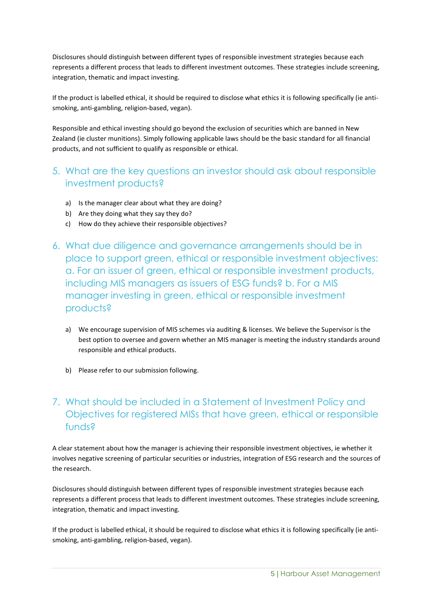Disclosures should distinguish between different types of responsible investment strategies because each represents a different process that leads to different investment outcomes. These strategies include screening, integration, thematic and impact investing.

If the product is labelled ethical, it should be required to disclose what ethics it is following specifically (ie antismoking, anti-gambling, religion-based, vegan).

Responsible and ethical investing should go beyond the exclusion of securities which are banned in New Zealand (ie cluster munitions). Simply following applicable laws should be the basic standard for all financial products, and not sufficient to qualify as responsible or ethical.

## <span id="page-4-0"></span>5. What are the key questions an investor should ask about responsible investment products?

- a) Is the manager clear about what they are doing?
- b) Are they doing what they say they do?
- c) How do they achieve their responsible objectives?
- <span id="page-4-1"></span>6. What due diligence and governance arrangements should be in place to support green, ethical or responsible investment objectives: a. For an issuer of green, ethical or responsible investment products, including MIS managers as issuers of ESG funds? b. For a MIS manager investing in green, ethical or responsible investment products?
	- a) We encourage supervision of MIS schemes via auditing & licenses. We believe the Supervisor is the best option to oversee and govern whether an MIS manager is meeting the industry standards around responsible and ethical products.
	- b) Please refer to our submission following.

# <span id="page-4-2"></span>7. What should be included in a Statement of Investment Policy and Objectives for registered MISs that have green, ethical or responsible funds?

A clear statement about how the manager is achieving their responsible investment objectives, ie whether it involves negative screening of particular securities or industries, integration of ESG research and the sources of the research.

Disclosures should distinguish between different types of responsible investment strategies because each represents a different process that leads to different investment outcomes. These strategies include screening, integration, thematic and impact investing.

If the product is labelled ethical, it should be required to disclose what ethics it is following specifically (ie antismoking, anti-gambling, religion-based, vegan).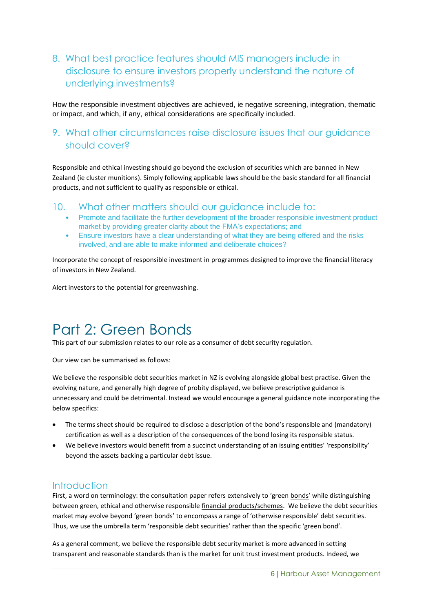# <span id="page-5-0"></span>8. What best practice features should MIS managers include in disclosure to ensure investors properly understand the nature of underlying investments?

How the responsible investment objectives are achieved, ie negative screening, integration, thematic or impact, and which, if any, ethical considerations are specifically included.

### <span id="page-5-1"></span>9. What other circumstances raise disclosure issues that our guidance should cover?

Responsible and ethical investing should go beyond the exclusion of securities which are banned in New Zealand (ie cluster munitions). Simply following applicable laws should be the basic standard for all financial products, and not sufficient to qualify as responsible or ethical.

#### <span id="page-5-2"></span>10. What other matters should our guidance include to:

- Promote and facilitate the further development of the broader responsible investment product market by providing greater clarity about the FMA's expectations; and
- Ensure investors have a clear understanding of what they are being offered and the risks involved, and are able to make informed and deliberate choices?

Incorporate the concept of responsible investment in programmes designed to improve the financial literacy of investors in New Zealand.

Alert investors to the potential for greenwashing.

# Part 2: Green Bonds

This part of our submission relates to our role as a consumer of debt security regulation.

Our view can be summarised as follows:

We believe the responsible debt securities market in NZ is evolving alongside global best practise. Given the evolving nature, and generally high degree of probity displayed, we believe prescriptive guidance is unnecessary and could be detrimental. Instead we would encourage a general guidance note incorporating the below specifics:

- The terms sheet should be required to disclose a description of the bond's responsible and (mandatory) certification as well as a description of the consequences of the bond losing its responsible status.
- We believe investors would benefit from a succinct understanding of an issuing entities' 'responsibility' beyond the assets backing a particular debt issue.

#### <span id="page-5-3"></span>**Introduction**

First, a word on terminology: the consultation paper refers extensively to 'green bonds' while distinguishing between green, ethical and otherwise responsible financial products/schemes. We believe the debt securities market may evolve beyond 'green bonds' to encompass a range of 'otherwise responsible' debt securities. Thus, we use the umbrella term 'responsible debt securities' rather than the specific 'green bond'.

As a general comment, we believe the responsible debt security market is more advanced in setting transparent and reasonable standards than is the market for unit trust investment products. Indeed, we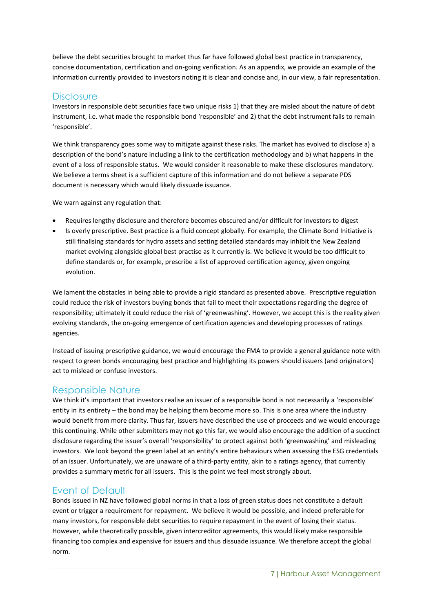believe the debt securities brought to market thus far have followed global best practice in transparency, concise documentation, certification and on-going verification. As an appendix, we provide an example of the information currently provided to investors noting it is clear and concise and, in our view, a fair representation.

#### <span id="page-6-0"></span>**Disclosure**

Investors in responsible debt securities face two unique risks 1) that they are misled about the nature of debt instrument, i.e. what made the responsible bond 'responsible' and 2) that the debt instrument fails to remain 'responsible'.

We think transparency goes some way to mitigate against these risks. The market has evolved to disclose a) a description of the bond's nature including a link to the certification methodology and b) what happens in the event of a loss of responsible status. We would consider it reasonable to make these disclosures mandatory. We believe a terms sheet is a sufficient capture of this information and do not believe a separate PDS document is necessary which would likely dissuade issuance.

We warn against any regulation that:

- Requires lengthy disclosure and therefore becomes obscured and/or difficult for investors to digest
- Is overly prescriptive. Best practice is a fluid concept globally. For example, the Climate Bond Initiative is still finalising standards for hydro assets and setting detailed standards may inhibit the New Zealand market evolving alongside global best practise as it currently is. We believe it would be too difficult to define standards or, for example, prescribe a list of approved certification agency, given ongoing evolution.

We lament the obstacles in being able to provide a rigid standard as presented above. Prescriptive regulation could reduce the risk of investors buying bonds that fail to meet their expectations regarding the degree of responsibility; ultimately it could reduce the risk of 'greenwashing'. However, we accept this is the reality given evolving standards, the on-going emergence of certification agencies and developing processes of ratings agencies.

Instead of issuing prescriptive guidance, we would encourage the FMA to provide a general guidance note with respect to green bonds encouraging best practice and highlighting its powers should issuers (and originators) act to mislead or confuse investors.

#### <span id="page-6-1"></span>Responsible Nature

We think it's important that investors realise an issuer of a responsible bond is not necessarily a 'responsible' entity in its entirety – the bond may be helping them become more so. This is one area where the industry would benefit from more clarity. Thus far, issuers have described the use of proceeds and we would encourage this continuing. While other submitters may not go this far, we would also encourage the addition of a succinct disclosure regarding the issuer's overall 'responsibility' to protect against both 'greenwashing' and misleading investors. We look beyond the green label at an entity's entire behaviours when assessing the ESG credentials of an issuer. Unfortunately, we are unaware of a third-party entity, akin to a ratings agency, that currently provides a summary metric for all issuers. This is the point we feel most strongly about.

### <span id="page-6-2"></span>Event of Default

Bonds issued in NZ have followed global norms in that a loss of green status does not constitute a default event or trigger a requirement for repayment. We believe it would be possible, and indeed preferable for many investors, for responsible debt securities to require repayment in the event of losing their status. However, while theoretically possible, given intercreditor agreements, this would likely make responsible financing too complex and expensive for issuers and thus dissuade issuance. We therefore accept the global norm.